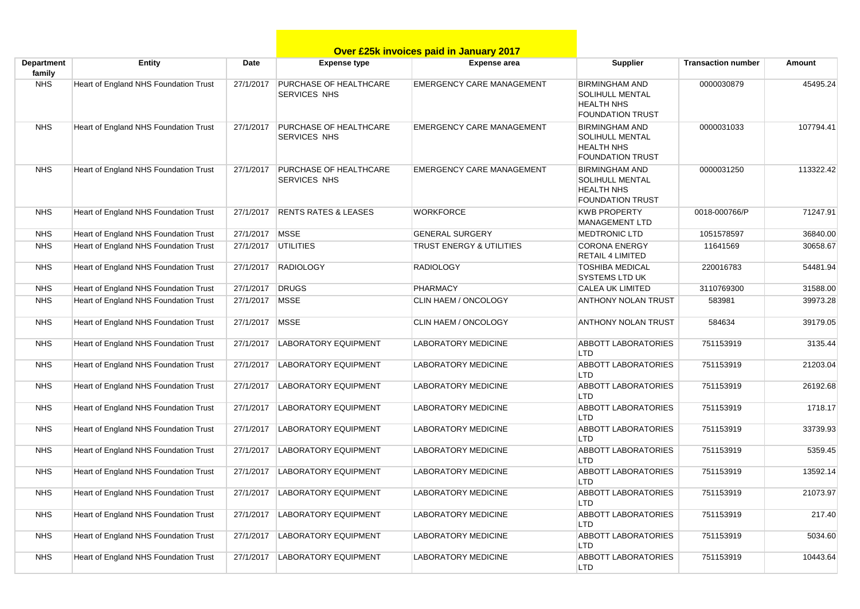|                             |                                              |           |                                                      | Over £25k invoices paid in January 2017 |                                                                                                 |                           |               |
|-----------------------------|----------------------------------------------|-----------|------------------------------------------------------|-----------------------------------------|-------------------------------------------------------------------------------------------------|---------------------------|---------------|
| <b>Department</b><br>family | <b>Entity</b>                                | Date      | <b>Expense type</b>                                  | <b>Expense area</b>                     | Supplier                                                                                        | <b>Transaction number</b> | <b>Amount</b> |
| <b>NHS</b>                  | Heart of England NHS Foundation Trust        | 27/1/2017 | <b>PURCHASE OF HEALTHCARE</b><br><b>SERVICES NHS</b> | <b>EMERGENCY CARE MANAGEMENT</b>        | <b>BIRMINGHAM AND</b><br><b>SOLIHULL MENTAL</b><br><b>HEALTH NHS</b><br><b>FOUNDATION TRUST</b> | 0000030879                | 45495.24      |
| <b>NHS</b>                  | Heart of England NHS Foundation Trust        | 27/1/2017 | <b>PURCHASE OF HEALTHCARE</b><br><b>SERVICES NHS</b> | <b>EMERGENCY CARE MANAGEMENT</b>        | <b>BIRMINGHAM AND</b><br><b>SOLIHULL MENTAL</b><br><b>HEALTH NHS</b><br><b>FOUNDATION TRUST</b> | 0000031033                | 107794.41     |
| <b>NHS</b>                  | Heart of England NHS Foundation Trust        | 27/1/2017 | <b>PURCHASE OF HEALTHCARE</b><br><b>SERVICES NHS</b> | <b>EMERGENCY CARE MANAGEMENT</b>        | <b>BIRMINGHAM AND</b><br><b>SOLIHULL MENTAL</b><br><b>HEALTH NHS</b><br><b>FOUNDATION TRUST</b> | 0000031250                | 113322.42     |
| <b>NHS</b>                  | Heart of England NHS Foundation Trust        | 27/1/2017 | <b>RENTS RATES &amp; LEASES</b>                      | <b>WORKFORCE</b>                        | <b>KWB PROPERTY</b><br><b>MANAGEMENT LTD</b>                                                    | 0018-000766/P             | 71247.91      |
| <b>NHS</b>                  | Heart of England NHS Foundation Trust        | 27/1/2017 | <b>MSSE</b>                                          | <b>GENERAL SURGERY</b>                  | <b>MEDTRONIC LTD</b>                                                                            | 1051578597                | 36840.00      |
| <b>NHS</b>                  | Heart of England NHS Foundation Trust        | 27/1/2017 | <b>UTILITIES</b>                                     | <b>TRUST ENERGY &amp; UTILITIES</b>     | <b>CORONA ENERGY</b><br><b>RETAIL 4 LIMITED</b>                                                 | 11641569                  | 30658.67      |
| <b>NHS</b>                  | Heart of England NHS Foundation Trust        | 27/1/2017 | RADIOLOGY                                            | <b>RADIOLOGY</b>                        | <b>TOSHIBA MEDICAL</b><br><b>SYSTEMS LTD UK</b>                                                 | 220016783                 | 54481.94      |
| <b>NHS</b>                  | Heart of England NHS Foundation Trust        | 27/1/2017 | DRUGS                                                | <b>PHARMACY</b>                         | <b>CALEA UK LIMITED</b>                                                                         | 3110769300                | 31588.00      |
| <b>NHS</b>                  | Heart of England NHS Foundation Trust        | 27/1/2017 | <b>MSSE</b>                                          | CLIN HAEM / ONCOLOGY                    | <b>ANTHONY NOLAN TRUST</b>                                                                      | 583981                    | 39973.28      |
| <b>NHS</b>                  | Heart of England NHS Foundation Trust        | 27/1/2017 | <b>MSSE</b>                                          | CLIN HAEM / ONCOLOGY                    | <b>ANTHONY NOLAN TRUST</b>                                                                      | 584634                    | 39179.05      |
| <b>NHS</b>                  | Heart of England NHS Foundation Trust        | 27/1/2017 | <b>LABORATORY EQUIPMENT</b>                          | <b>LABORATORY MEDICINE</b>              | <b>ABBOTT LABORATORIES</b><br><b>LTD</b>                                                        | 751153919                 | 3135.44       |
| <b>NHS</b>                  | Heart of England NHS Foundation Trust        | 27/1/2017 | <b>LABORATORY EQUIPMENT</b>                          | <b>LABORATORY MEDICINE</b>              | <b>ABBOTT LABORATORIES</b><br><b>LTD</b>                                                        | 751153919                 | 21203.04      |
| <b>NHS</b>                  | <b>Heart of England NHS Foundation Trust</b> | 27/1/2017 | <b>LABORATORY EQUIPMENT</b>                          | <b>LABORATORY MEDICINE</b>              | <b>ABBOTT LABORATORIES</b><br><b>LTD</b>                                                        | 751153919                 | 26192.68      |
| <b>NHS</b>                  | Heart of England NHS Foundation Trust        | 27/1/2017 | <b>LABORATORY EQUIPMENT</b>                          | <b>LABORATORY MEDICINE</b>              | <b>ABBOTT LABORATORIES</b><br><b>LTD</b>                                                        | 751153919                 | 1718.17       |
| <b>NHS</b>                  | Heart of England NHS Foundation Trust        | 27/1/2017 | <b>LABORATORY EQUIPMENT</b>                          | <b>LABORATORY MEDICINE</b>              | <b>ABBOTT LABORATORIES</b><br><b>LTD</b>                                                        | 751153919                 | 33739.93      |
| <b>NHS</b>                  | Heart of England NHS Foundation Trust        | 27/1/2017 | <b>LABORATORY EQUIPMENT</b>                          | <b>LABORATORY MEDICINE</b>              | <b>ABBOTT LABORATORIES</b><br>LTD <sub></sub>                                                   | 751153919                 | 5359.45       |
| <b>NHS</b>                  | Heart of England NHS Foundation Trust        | 27/1/2017 | <b>LABORATORY EQUIPMENT</b>                          | <b>LABORATORY MEDICINE</b>              | <b>ABBOTT LABORATORIES</b><br><b>LTD</b>                                                        | 751153919                 | 13592.14      |
| <b>NHS</b>                  | Heart of England NHS Foundation Trust        |           | 27/1/2017   LABORATORY EQUIPMENT                     | <b>LABORATORY MEDICINE</b>              | <b>ABBOTT LABORATORIES</b><br><b>LTD</b>                                                        | 751153919                 | 21073.97      |
| <b>NHS</b>                  | Heart of England NHS Foundation Trust        | 27/1/2017 | <b>LABORATORY EQUIPMENT</b>                          | <b>LABORATORY MEDICINE</b>              | <b>ABBOTT LABORATORIES</b><br>LTD.                                                              | 751153919                 | 217.40        |
| <b>NHS</b>                  | Heart of England NHS Foundation Trust        | 27/1/2017 | <b>LABORATORY EQUIPMENT</b>                          | <b>LABORATORY MEDICINE</b>              | <b>ABBOTT LABORATORIES</b><br>LTD                                                               | 751153919                 | 5034.60       |
| <b>NHS</b>                  | Heart of England NHS Foundation Trust        | 27/1/2017 | <b>LABORATORY EQUIPMENT</b>                          | <b>LABORATORY MEDICINE</b>              | ABBOTT LABORATORIES<br><b>LTD</b>                                                               | 751153919                 | 10443.64      |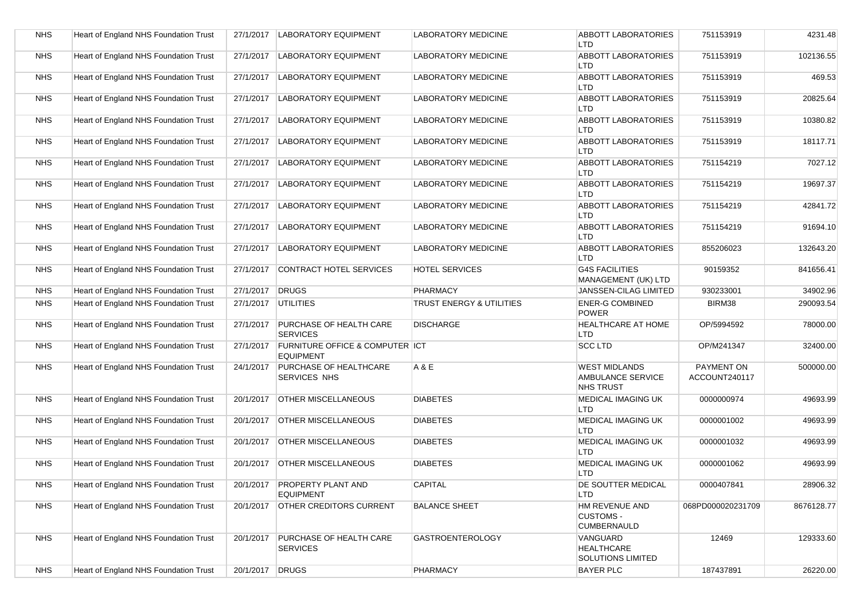| <b>NHS</b> | Heart of England NHS Foundation Trust | 27/1/2017       | <b>LABORATORY EQUIPMENT</b>                         | <b>LABORATORY MEDICINE</b> | <b>ABBOTT LABORATORIES</b><br><b>LTD</b>                      | 751153919                   | 4231.48    |
|------------|---------------------------------------|-----------------|-----------------------------------------------------|----------------------------|---------------------------------------------------------------|-----------------------------|------------|
| <b>NHS</b> | Heart of England NHS Foundation Trust | 27/1/2017       | <b>LABORATORY EQUIPMENT</b>                         | LABORATORY MEDICINE        | <b>ABBOTT LABORATORIES</b><br><b>LTD</b>                      | 751153919                   | 102136.55  |
| <b>NHS</b> | Heart of England NHS Foundation Trust | 27/1/2017       | <b>LABORATORY EQUIPMENT</b>                         | <b>LABORATORY MEDICINE</b> | <b>ABBOTT LABORATORIES</b><br><b>LTD</b>                      | 751153919                   | 469.53     |
| <b>NHS</b> | Heart of England NHS Foundation Trust | 27/1/2017       | <b>LABORATORY EQUIPMENT</b>                         | LABORATORY MEDICINE        | <b>ABBOTT LABORATORIES</b><br><b>LTD</b>                      | 751153919                   | 20825.64   |
| <b>NHS</b> | Heart of England NHS Foundation Trust | 27/1/2017       | <b>LABORATORY EQUIPMENT</b>                         | <b>LABORATORY MEDICINE</b> | <b>ABBOTT LABORATORIES</b><br><b>LTD</b>                      | 751153919                   | 10380.82   |
| <b>NHS</b> | Heart of England NHS Foundation Trust | 27/1/2017       | <b>LABORATORY EQUIPMENT</b>                         | <b>LABORATORY MEDICINE</b> | <b>ABBOTT LABORATORIES</b><br><b>LTD</b>                      | 751153919                   | 18117.71   |
| <b>NHS</b> | Heart of England NHS Foundation Trust | 27/1/2017       | <b>LABORATORY EQUIPMENT</b>                         | <b>LABORATORY MEDICINE</b> | <b>ABBOTT LABORATORIES</b><br><b>LTD</b>                      | 751154219                   | 7027.12    |
| <b>NHS</b> | Heart of England NHS Foundation Trust | 27/1/2017       | <b>LABORATORY EQUIPMENT</b>                         | <b>LABORATORY MEDICINE</b> | <b>ABBOTT LABORATORIES</b><br><b>LTD</b>                      | 751154219                   | 19697.37   |
| <b>NHS</b> | Heart of England NHS Foundation Trust | 27/1/2017       | <b>LABORATORY EQUIPMENT</b>                         | <b>LABORATORY MEDICINE</b> | <b>ABBOTT LABORATORIES</b><br><b>LTD</b>                      | 751154219                   | 42841.72   |
| <b>NHS</b> | Heart of England NHS Foundation Trust | 27/1/2017       | <b>LABORATORY EQUIPMENT</b>                         | <b>LABORATORY MEDICINE</b> | <b>ABBOTT LABORATORIES</b><br><b>LTD</b>                      | 751154219                   | 91694.10   |
| <b>NHS</b> | Heart of England NHS Foundation Trust | 27/1/2017       | <b>LABORATORY EQUIPMENT</b>                         | <b>LABORATORY MEDICINE</b> | <b>ABBOTT LABORATORIES</b><br><b>LTD</b>                      | 855206023                   | 132643.20  |
| <b>NHS</b> | Heart of England NHS Foundation Trust | 27/1/2017       | <b>CONTRACT HOTEL SERVICES</b>                      | HOTEL SERVICES             | <b>G4S FACILITIES</b><br>MANAGEMENT (UK) LTD                  | 90159352                    | 841656.41  |
| <b>NHS</b> | Heart of England NHS Foundation Trust | 27/1/2017       | <b>DRUGS</b>                                        | <b>PHARMACY</b>            | <b>JANSSEN-CILAG LIMITED</b>                                  | 930233001                   | 34902.96   |
| <b>NHS</b> | Heart of England NHS Foundation Trust | 27/1/2017       | <b>UTILITIES</b>                                    | TRUST ENERGY & UTILITIES   | <b>ENER-G COMBINED</b><br><b>POWER</b>                        | BIRM38                      | 290093.54  |
| <b>NHS</b> | Heart of England NHS Foundation Trust | 27/1/2017       | PURCHASE OF HEALTH CARE<br><b>SERVICES</b>          | <b>DISCHARGE</b>           | <b>HEALTHCARE AT HOME</b><br>LTD                              | OP/5994592                  | 78000.00   |
| <b>NHS</b> | Heart of England NHS Foundation Trust | 27/1/2017       | FURNITURE OFFICE & COMPUTER ICT<br><b>EQUIPMENT</b> |                            | <b>SCC LTD</b>                                                | OP/M241347                  | 32400.00   |
| <b>NHS</b> | Heart of England NHS Foundation Trust | 24/1/2017       | PURCHASE OF HEALTHCARE<br><b>SERVICES NHS</b>       | A & E                      | <b>WEST MIDLANDS</b><br>AMBULANCE SERVICE<br><b>NHS TRUST</b> | PAYMENT ON<br>ACCOUNT240117 | 500000.00  |
| <b>NHS</b> | Heart of England NHS Foundation Trust | 20/1/2017       | <b>OTHER MISCELLANEOUS</b>                          | <b>DIABETES</b>            | MEDICAL IMAGING UK<br><b>LTD</b>                              | 0000000974                  | 49693.99   |
| <b>NHS</b> | Heart of England NHS Foundation Trust | 20/1/2017       | <b>OTHER MISCELLANEOUS</b>                          | <b>DIABETES</b>            | MEDICAL IMAGING UK<br><b>LTD</b>                              | 0000001002                  | 49693.99   |
| <b>NHS</b> | Heart of England NHS Foundation Trust | 20/1/2017       | <b>OTHER MISCELLANEOUS</b>                          | <b>DIABETES</b>            | MEDICAL IMAGING UK<br><b>LTD</b>                              | 0000001032                  | 49693.99   |
| <b>NHS</b> | Heart of England NHS Foundation Trust | 20/1/2017       | <b>OTHER MISCELLANEOUS</b>                          | <b>DIABETES</b>            | MEDICAL IMAGING UK<br><b>LTD</b>                              | 0000001062                  | 49693.99   |
| NHS        | Heart of England NHS Foundation Trust |                 | 20/1/2017   PROPERTY PLANT AND<br><b>EQUIPMENT</b>  | <b>CAPITAL</b>             | DE SOUTTER MEDICAL<br><b>LTD</b>                              | 0000407841                  | 28906.32   |
| <b>NHS</b> | Heart of England NHS Foundation Trust | 20/1/2017       | <b>OTHER CREDITORS CURRENT</b>                      | <b>BALANCE SHEET</b>       | HM REVENUE AND<br><b>CUSTOMS -</b><br><b>CUMBERNAULD</b>      | 068PD000020231709           | 8676128.77 |
| <b>NHS</b> | Heart of England NHS Foundation Trust | 20/1/2017       | <b>PURCHASE OF HEALTH CARE</b><br><b>SERVICES</b>   | <b>GASTROENTEROLOGY</b>    | VANGUARD<br>HEALTHCARE<br><b>SOLUTIONS LIMITED</b>            | 12469                       | 129333.60  |
| <b>NHS</b> | Heart of England NHS Foundation Trust | 20/1/2017 DRUGS |                                                     | PHARMACY                   | <b>BAYER PLC</b>                                              | 187437891                   | 26220.00   |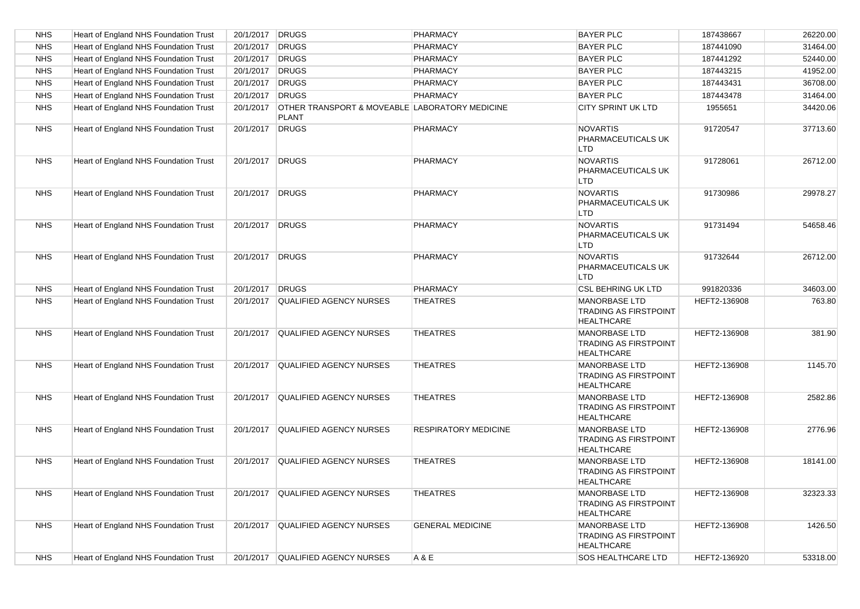| <b>NHS</b> | Heart of England NHS Foundation Trust        | 20/1/2017 DRUGS |                                                                | PHARMACY                    | <b>BAYER PLC</b>                                                          | 187438667    | 26220.00 |
|------------|----------------------------------------------|-----------------|----------------------------------------------------------------|-----------------------------|---------------------------------------------------------------------------|--------------|----------|
| <b>NHS</b> | Heart of England NHS Foundation Trust        | 20/1/2017       | DRUGS                                                          | <b>PHARMACY</b>             | <b>BAYER PLC</b>                                                          | 187441090    | 31464.00 |
| <b>NHS</b> | Heart of England NHS Foundation Trust        | 20/1/2017       | <b>DRUGS</b>                                                   | PHARMACY                    | <b>BAYER PLC</b>                                                          | 187441292    | 52440.00 |
| <b>NHS</b> | Heart of England NHS Foundation Trust        | 20/1/2017       | DRUGS                                                          | PHARMACY                    | <b>BAYER PLC</b>                                                          | 187443215    | 41952.00 |
| <b>NHS</b> | Heart of England NHS Foundation Trust        | 20/1/2017       | DRUGS                                                          | PHARMACY                    | <b>BAYER PLC</b>                                                          | 187443431    | 36708.00 |
| <b>NHS</b> | Heart of England NHS Foundation Trust        | 20/1/2017       | DRUGS                                                          | PHARMACY                    | <b>BAYER PLC</b>                                                          | 187443478    | 31464.00 |
| <b>NHS</b> | Heart of England NHS Foundation Trust        | 20/1/2017       | OTHER TRANSPORT & MOVEABLE LABORATORY MEDICINE<br><b>PLANT</b> |                             | <b>CITY SPRINT UK LTD</b>                                                 | 1955651      | 34420.06 |
| <b>NHS</b> | Heart of England NHS Foundation Trust        | 20/1/2017       | DRUGS                                                          | PHARMACY                    | <b>NOVARTIS</b><br>PHARMACEUTICALS UK<br><b>LTD</b>                       | 91720547     | 37713.60 |
| <b>NHS</b> | Heart of England NHS Foundation Trust        | 20/1/2017 DRUGS |                                                                | PHARMACY                    | <b>NOVARTIS</b><br>PHARMACEUTICALS UK<br><b>LTD</b>                       | 91728061     | 26712.00 |
| <b>NHS</b> | Heart of England NHS Foundation Trust        | 20/1/2017 DRUGS |                                                                | <b>PHARMACY</b>             | <b>NOVARTIS</b><br>PHARMACEUTICALS UK<br><b>LTD</b>                       | 91730986     | 29978.27 |
| <b>NHS</b> | Heart of England NHS Foundation Trust        | 20/1/2017 DRUGS |                                                                | PHARMACY                    | <b>NOVARTIS</b><br>PHARMACEUTICALS UK<br><b>LTD</b>                       | 91731494     | 54658.46 |
| <b>NHS</b> | Heart of England NHS Foundation Trust        | 20/1/2017 DRUGS |                                                                | <b>PHARMACY</b>             | <b>NOVARTIS</b><br>PHARMACEUTICALS UK<br><b>LTD</b>                       | 91732644     | 26712.00 |
| <b>NHS</b> | Heart of England NHS Foundation Trust        | 20/1/2017       | <b>DRUGS</b>                                                   | PHARMACY                    | <b>CSL BEHRING UK LTD</b>                                                 | 991820336    | 34603.00 |
| <b>NHS</b> | Heart of England NHS Foundation Trust        | 20/1/2017       | QUALIFIED AGENCY NURSES                                        | <b>THEATRES</b>             | <b>MANORBASE LTD</b><br><b>TRADING AS FIRSTPOINT</b><br><b>HEALTHCARE</b> | HEFT2-136908 | 763.80   |
| <b>NHS</b> | Heart of England NHS Foundation Trust        |                 | 20/1/2017 QUALIFIED AGENCY NURSES                              | <b>THEATRES</b>             | <b>MANORBASE LTD</b><br><b>TRADING AS FIRSTPOINT</b><br><b>HEALTHCARE</b> | HEFT2-136908 | 381.90   |
| <b>NHS</b> | Heart of England NHS Foundation Trust        |                 | 20/1/2017 QUALIFIED AGENCY NURSES                              | <b>THEATRES</b>             | <b>MANORBASE LTD</b><br><b>TRADING AS FIRSTPOINT</b><br><b>HEALTHCARE</b> | HEFT2-136908 | 1145.70  |
| <b>NHS</b> | Heart of England NHS Foundation Trust        | 20/1/2017       | QUALIFIED AGENCY NURSES                                        | <b>THEATRES</b>             | <b>MANORBASE LTD</b><br><b>TRADING AS FIRSTPOINT</b><br><b>HEALTHCARE</b> | HEFT2-136908 | 2582.86  |
| <b>NHS</b> | Heart of England NHS Foundation Trust        | 20/1/2017       | QUALIFIED AGENCY NURSES                                        | <b>RESPIRATORY MEDICINE</b> | <b>MANORBASE LTD</b><br><b>TRADING AS FIRSTPOINT</b><br><b>HEALTHCARE</b> | HEFT2-136908 | 2776.96  |
| <b>NHS</b> | Heart of England NHS Foundation Trust        | 20/1/2017       | QUALIFIED AGENCY NURSES                                        | <b>THEATRES</b>             | <b>MANORBASE LTD</b><br><b>TRADING AS FIRSTPOINT</b><br><b>HEALTHCARE</b> | HEFT2-136908 | 18141.00 |
| <b>NHS</b> | Heart of England NHS Foundation Trust        |                 | 20/1/2017 QUALIFIED AGENCY NURSES                              | <b>THEATRES</b>             | <b>MANORBASE LTD</b><br><b>TRADING AS FIRSTPOINT</b><br><b>HEALTHCARE</b> | HEFT2-136908 | 32323.33 |
| <b>NHS</b> | Heart of England NHS Foundation Trust        |                 | 20/1/2017 QUALIFIED AGENCY NURSES                              | <b>GENERAL MEDICINE</b>     | <b>MANORBASE LTD</b><br><b>TRADING AS FIRSTPOINT</b><br><b>HEALTHCARE</b> | HEFT2-136908 | 1426.50  |
| <b>NHS</b> | <b>Heart of England NHS Foundation Trust</b> |                 | 20/1/2017 QUALIFIED AGENCY NURSES                              | A & E                       | SOS HEALTHCARE LTD                                                        | HEFT2-136920 | 53318.00 |
|            |                                              |                 |                                                                |                             |                                                                           |              |          |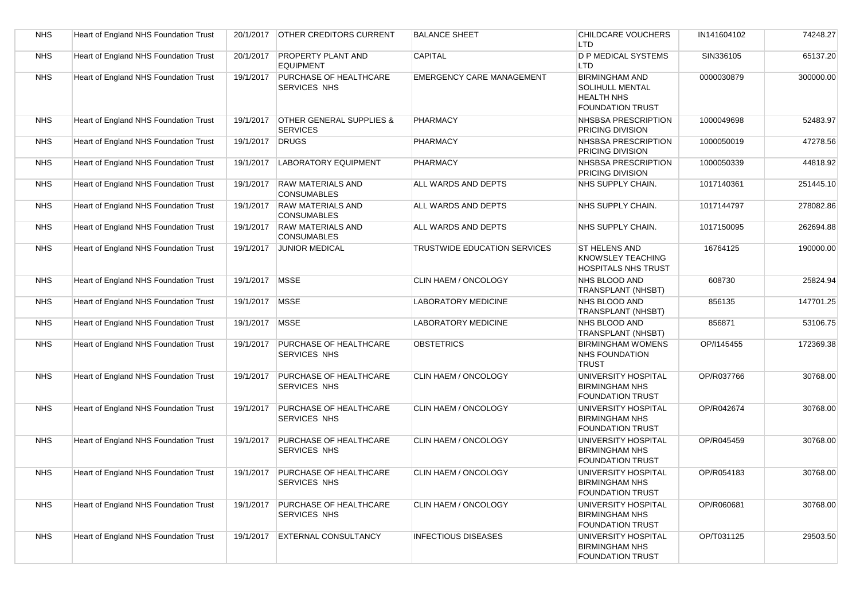| <b>NHS</b> | Heart of England NHS Foundation Trust | 20/1/2017      | <b>OTHER CREDITORS CURRENT</b>                         | <b>BALANCE SHEET</b>             | CHILDCARE VOUCHERS<br><b>LTD</b>                                                                | IN141604102 | 74248.27  |
|------------|---------------------------------------|----------------|--------------------------------------------------------|----------------------------------|-------------------------------------------------------------------------------------------------|-------------|-----------|
| <b>NHS</b> | Heart of England NHS Foundation Trust | 20/1/2017      | <b>PROPERTY PLANT AND</b><br><b>EQUIPMENT</b>          | CAPITAL                          | <b>D P MEDICAL SYSTEMS</b><br><b>LTD</b>                                                        | SIN336105   | 65137.20  |
| <b>NHS</b> | Heart of England NHS Foundation Trust | 19/1/2017      | PURCHASE OF HEALTHCARE<br><b>SERVICES NHS</b>          | <b>EMERGENCY CARE MANAGEMENT</b> | <b>BIRMINGHAM AND</b><br><b>SOLIHULL MENTAL</b><br><b>HEALTH NHS</b><br><b>FOUNDATION TRUST</b> | 0000030879  | 300000.00 |
| <b>NHS</b> | Heart of England NHS Foundation Trust | 19/1/2017      | <b>OTHER GENERAL SUPPLIES &amp;</b><br><b>SERVICES</b> | <b>PHARMACY</b>                  | NHSBSA PRESCRIPTION<br>PRICING DIVISION                                                         | 1000049698  | 52483.97  |
| <b>NHS</b> | Heart of England NHS Foundation Trust | 19/1/2017      | <b>DRUGS</b>                                           | <b>PHARMACY</b>                  | NHSBSA PRESCRIPTION<br>PRICING DIVISION                                                         | 1000050019  | 47278.56  |
| <b>NHS</b> | Heart of England NHS Foundation Trust | 19/1/2017      | <b>LABORATORY EQUIPMENT</b>                            | <b>PHARMACY</b>                  | NHSBSA PRESCRIPTION<br>PRICING DIVISION                                                         | 1000050339  | 44818.92  |
| <b>NHS</b> | Heart of England NHS Foundation Trust | 19/1/2017      | <b>RAW MATERIALS AND</b><br><b>CONSUMABLES</b>         | ALL WARDS AND DEPTS              | NHS SUPPLY CHAIN.                                                                               | 1017140361  | 251445.10 |
| <b>NHS</b> | Heart of England NHS Foundation Trust | 19/1/2017      | <b>RAW MATERIALS AND</b><br><b>CONSUMABLES</b>         | ALL WARDS AND DEPTS              | NHS SUPPLY CHAIN.                                                                               | 1017144797  | 278082.86 |
| <b>NHS</b> | Heart of England NHS Foundation Trust | 19/1/2017      | <b>RAW MATERIALS AND</b><br><b>CONSUMABLES</b>         | ALL WARDS AND DEPTS              | NHS SUPPLY CHAIN.                                                                               | 1017150095  | 262694.88 |
| <b>NHS</b> | Heart of England NHS Foundation Trust | 19/1/2017      | <b>JUNIOR MEDICAL</b>                                  | TRUSTWIDE EDUCATION SERVICES     | ST HELENS AND<br>KNOWSLEY TEACHING<br><b>HOSPITALS NHS TRUST</b>                                | 16764125    | 190000.00 |
| <b>NHS</b> | Heart of England NHS Foundation Trust | 19/1/2017 MSSE |                                                        | CLIN HAEM / ONCOLOGY             | NHS BLOOD AND<br>TRANSPLANT (NHSBT)                                                             | 608730      | 25824.94  |
| <b>NHS</b> | Heart of England NHS Foundation Trust | 19/1/2017      | <b>MSSE</b>                                            | <b>LABORATORY MEDICINE</b>       | NHS BLOOD AND<br>TRANSPLANT (NHSBT)                                                             | 856135      | 147701.25 |
| <b>NHS</b> | Heart of England NHS Foundation Trust | 19/1/2017 MSSE |                                                        | <b>LABORATORY MEDICINE</b>       | NHS BLOOD AND<br>TRANSPLANT (NHSBT)                                                             | 856871      | 53106.75  |
| <b>NHS</b> | Heart of England NHS Foundation Trust | 19/1/2017      | <b>PURCHASE OF HEALTHCARE</b><br>SERVICES NHS          | <b>OBSTETRICS</b>                | <b>BIRMINGHAM WOMENS</b><br><b>NHS FOUNDATION</b><br><b>TRUST</b>                               | OP/I145455  | 172369.38 |
| <b>NHS</b> | Heart of England NHS Foundation Trust | 19/1/2017      | PURCHASE OF HEALTHCARE<br>SERVICES NHS                 | CLIN HAEM / ONCOLOGY             | UNIVERSITY HOSPITAL<br><b>BIRMINGHAM NHS</b><br><b>FOUNDATION TRUST</b>                         | OP/R037766  | 30768.00  |
| <b>NHS</b> | Heart of England NHS Foundation Trust | 19/1/2017      | <b>PURCHASE OF HEALTHCARE</b><br>SERVICES NHS          | CLIN HAEM / ONCOLOGY             | UNIVERSITY HOSPITAL<br><b>BIRMINGHAM NHS</b><br><b>FOUNDATION TRUST</b>                         | OP/R042674  | 30768.00  |
| <b>NHS</b> | Heart of England NHS Foundation Trust | 19/1/2017      | <b>PURCHASE OF HEALTHCARE</b><br>SERVICES NHS          | <b>CLIN HAEM / ONCOLOGY</b>      | <b>UNIVERSITY HOSPITAL</b><br><b>BIRMINGHAM NHS</b><br>FOUNDATION TRUST                         | OP/R045459  | 30768.00  |
| <b>NHS</b> | Heart of England NHS Foundation Trust | 19/1/2017      | PURCHASE OF HEALTHCARE<br>SERVICES NHS                 | CLIN HAEM / ONCOLOGY             | UNIVERSITY HOSPITAL<br><b>BIRMINGHAM NHS</b><br><b>FOUNDATION TRUST</b>                         | OP/R054183  | 30768.00  |
| <b>NHS</b> | Heart of England NHS Foundation Trust | 19/1/2017      | <b>PURCHASE OF HEALTHCARE</b><br>SERVICES NHS          | <b>CLIN HAEM / ONCOLOGY</b>      | UNIVERSITY HOSPITAL<br><b>BIRMINGHAM NHS</b><br><b>FOUNDATION TRUST</b>                         | OP/R060681  | 30768.00  |
| <b>NHS</b> | Heart of England NHS Foundation Trust | 19/1/2017      | <b>EXTERNAL CONSULTANCY</b>                            | <b>INFECTIOUS DISEASES</b>       | UNIVERSITY HOSPITAL<br><b>BIRMINGHAM NHS</b><br><b>FOUNDATION TRUST</b>                         | OP/T031125  | 29503.50  |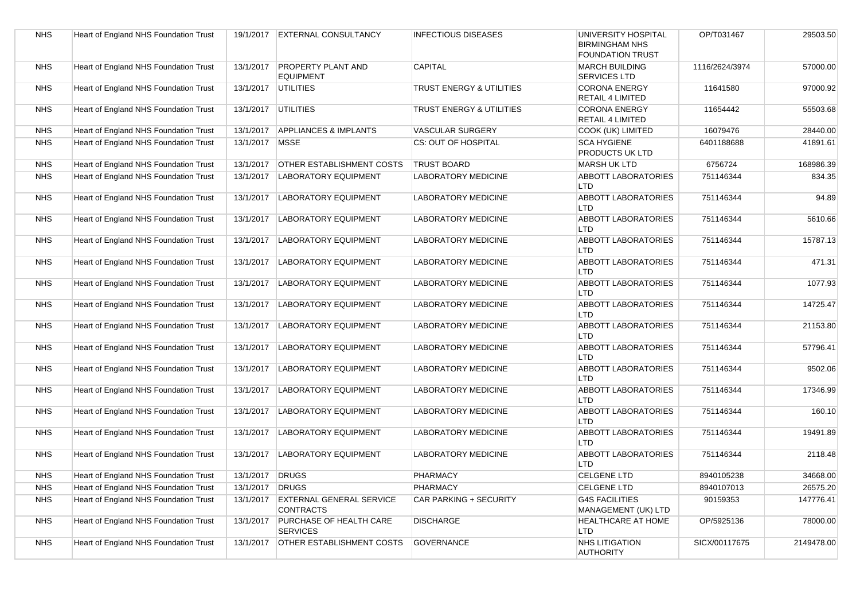| <b>NHS</b> | Heart of England NHS Foundation Trust | 19/1/2017 | <b>EXTERNAL CONSULTANCY</b>                         | <b>INFECTIOUS DISEASES</b>          | UNIVERSITY HOSPITAL<br><b>BIRMINGHAM NHS</b><br><b>FOUNDATION TRUST</b> | OP/T031467     | 29503.50   |
|------------|---------------------------------------|-----------|-----------------------------------------------------|-------------------------------------|-------------------------------------------------------------------------|----------------|------------|
| <b>NHS</b> | Heart of England NHS Foundation Trust | 13/1/2017 | PROPERTY PLANT AND<br><b>EQUIPMENT</b>              | CAPITAL                             | <b>MARCH BUILDING</b><br>SERVICES LTD                                   | 1116/2624/3974 | 57000.00   |
| <b>NHS</b> | Heart of England NHS Foundation Trust | 13/1/2017 | <b>UTILITIES</b>                                    | <b>TRUST ENERGY &amp; UTILITIES</b> | <b>CORONA ENERGY</b><br>RETAIL 4 LIMITED                                | 11641580       | 97000.92   |
| <b>NHS</b> | Heart of England NHS Foundation Trust | 13/1/2017 | <b>UTILITIES</b>                                    | <b>TRUST ENERGY &amp; UTILITIES</b> | <b>CORONA ENERGY</b><br><b>RETAIL 4 LIMITED</b>                         | 11654442       | 55503.68   |
| <b>NHS</b> | Heart of England NHS Foundation Trust | 13/1/2017 | <b>APPLIANCES &amp; IMPLANTS</b>                    | <b>VASCULAR SURGERY</b>             | COOK (UK) LIMITED                                                       | 16079476       | 28440.00   |
| <b>NHS</b> | Heart of England NHS Foundation Trust | 13/1/2017 | <b>MSSE</b>                                         | CS: OUT OF HOSPITAL                 | <b>SCA HYGIENE</b><br>PRODUCTS UK LTD                                   | 6401188688     | 41891.61   |
| <b>NHS</b> | Heart of England NHS Foundation Trust | 13/1/2017 | <b>OTHER ESTABLISHMENT COSTS</b>                    | <b>TRUST BOARD</b>                  | <b>MARSH UK LTD</b>                                                     | 6756724        | 168986.39  |
| <b>NHS</b> | Heart of England NHS Foundation Trust | 13/1/2017 | <b>LABORATORY EQUIPMENT</b>                         | <b>LABORATORY MEDICINE</b>          | <b>ABBOTT LABORATORIES</b><br>LTD                                       | 751146344      | 834.35     |
| <b>NHS</b> | Heart of England NHS Foundation Trust | 13/1/2017 | <b>LABORATORY EQUIPMENT</b>                         | <b>LABORATORY MEDICINE</b>          | <b>ABBOTT LABORATORIES</b><br><b>LTD</b>                                | 751146344      | 94.89      |
| <b>NHS</b> | Heart of England NHS Foundation Trust | 13/1/2017 | <b>LABORATORY EQUIPMENT</b>                         | <b>LABORATORY MEDICINE</b>          | <b>ABBOTT LABORATORIES</b><br>LTD                                       | 751146344      | 5610.66    |
| <b>NHS</b> | Heart of England NHS Foundation Trust | 13/1/2017 | <b>LABORATORY EQUIPMENT</b>                         | <b>LABORATORY MEDICINE</b>          | <b>ABBOTT LABORATORIES</b><br><b>LTD</b>                                | 751146344      | 15787.13   |
| <b>NHS</b> | Heart of England NHS Foundation Trust | 13/1/2017 | <b>LABORATORY EQUIPMENT</b>                         | <b>LABORATORY MEDICINE</b>          | <b>ABBOTT LABORATORIES</b><br>LTD                                       | 751146344      | 471.31     |
| <b>NHS</b> | Heart of England NHS Foundation Trust | 13/1/2017 | <b>LABORATORY EQUIPMENT</b>                         | <b>LABORATORY MEDICINE</b>          | <b>ABBOTT LABORATORIES</b><br><b>LTD</b>                                | 751146344      | 1077.93    |
| <b>NHS</b> | Heart of England NHS Foundation Trust | 13/1/2017 | <b>LABORATORY EQUIPMENT</b>                         | <b>LABORATORY MEDICINE</b>          | <b>ABBOTT LABORATORIES</b><br>LTD                                       | 751146344      | 14725.47   |
| <b>NHS</b> | Heart of England NHS Foundation Trust | 13/1/2017 | <b>LABORATORY EQUIPMENT</b>                         | <b>LABORATORY MEDICINE</b>          | <b>ABBOTT LABORATORIES</b><br>LTD                                       | 751146344      | 21153.80   |
| <b>NHS</b> | Heart of England NHS Foundation Trust | 13/1/2017 | <b>LABORATORY EQUIPMENT</b>                         | <b>LABORATORY MEDICINE</b>          | <b>ABBOTT LABORATORIES</b><br><b>LTD</b>                                | 751146344      | 57796.41   |
| <b>NHS</b> | Heart of England NHS Foundation Trust | 13/1/2017 | <b>LABORATORY EQUIPMENT</b>                         | <b>LABORATORY MEDICINE</b>          | <b>ABBOTT LABORATORIES</b><br><b>LTD</b>                                | 751146344      | 9502.06    |
| <b>NHS</b> | Heart of England NHS Foundation Trust | 13/1/2017 | <b>LABORATORY EQUIPMENT</b>                         | <b>LABORATORY MEDICINE</b>          | <b>ABBOTT LABORATORIES</b><br>LTD                                       | 751146344      | 17346.99   |
| <b>NHS</b> | Heart of England NHS Foundation Trust | 13/1/2017 | <b>LABORATORY EQUIPMENT</b>                         | <b>LABORATORY MEDICINE</b>          | <b>ABBOTT LABORATORIES</b><br><b>LTD</b>                                | 751146344      | 160.10     |
| <b>NHS</b> | Heart of England NHS Foundation Trust | 13/1/2017 | <b>LABORATORY EQUIPMENT</b>                         | <b>LABORATORY MEDICINE</b>          | <b>ABBOTT LABORATORIES</b><br><b>LTD</b>                                | 751146344      | 19491.89   |
| <b>NHS</b> | Heart of England NHS Foundation Trust | 13/1/2017 | <b>LABORATORY EQUIPMENT</b>                         | <b>LABORATORY MEDICINE</b>          | <b>ABBOTT LABORATORIES</b><br><b>LTD</b>                                | 751146344      | 2118.48    |
| <b>NHS</b> | Heart of England NHS Foundation Trust | 13/1/2017 | DRUGS                                               | <b>PHARMACY</b>                     | <b>CELGENE LTD</b>                                                      | 8940105238     | 34668.00   |
| <b>NHS</b> | Heart of England NHS Foundation Trust | 13/1/2017 | <b>DRUGS</b>                                        | <b>PHARMACY</b>                     | <b>CELGENE LTD</b>                                                      | 8940107013     | 26575.20   |
| <b>NHS</b> | Heart of England NHS Foundation Trust | 13/1/2017 | <b>EXTERNAL GENERAL SERVICE</b><br><b>CONTRACTS</b> | CAR PARKING + SECURITY              | <b>G4S FACILITIES</b><br>MANAGEMENT (UK) LTD                            | 90159353       | 147776.41  |
| <b>NHS</b> | Heart of England NHS Foundation Trust | 13/1/2017 | <b>PURCHASE OF HEALTH CARE</b><br><b>SERVICES</b>   | <b>DISCHARGE</b>                    | HEALTHCARE AT HOME<br><b>LTD</b>                                        | OP/5925136     | 78000.00   |
| <b>NHS</b> | Heart of England NHS Foundation Trust | 13/1/2017 | <b>OTHER ESTABLISHMENT COSTS</b>                    | <b>GOVERNANCE</b>                   | NHS LITIGATION<br><b>AUTHORITY</b>                                      | SICX/00117675  | 2149478.00 |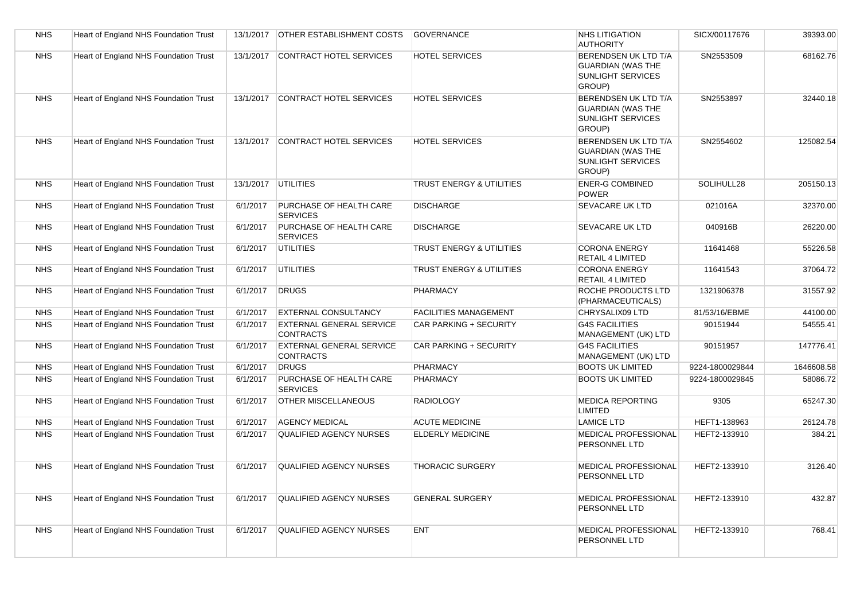| <b>NHS</b> | Heart of England NHS Foundation Trust | 13/1/2017 | <b>OTHER ESTABLISHMENT COSTS</b>                    | <b>GOVERNANCE</b>            | <b>NHS LITIGATION</b><br><b>AUTHORITY</b>                                       | SICX/00117676   | 39393.00   |
|------------|---------------------------------------|-----------|-----------------------------------------------------|------------------------------|---------------------------------------------------------------------------------|-----------------|------------|
| <b>NHS</b> | Heart of England NHS Foundation Trust | 13/1/2017 | <b>CONTRACT HOTEL SERVICES</b>                      | <b>HOTEL SERVICES</b>        | BERENDSEN UK LTD T/A<br><b>GUARDIAN (WAS THE</b><br>SUNLIGHT SERVICES<br>GROUP) | SN2553509       | 68162.76   |
| <b>NHS</b> | Heart of England NHS Foundation Trust |           | 13/1/2017 CONTRACT HOTEL SERVICES                   | <b>HOTEL SERVICES</b>        | BERENDSEN UK LTD T/A<br><b>GUARDIAN (WAS THE</b><br>SUNLIGHT SERVICES<br>GROUP) | SN2553897       | 32440.18   |
| <b>NHS</b> | Heart of England NHS Foundation Trust |           | 13/1/2017 CONTRACT HOTEL SERVICES                   | <b>HOTEL SERVICES</b>        | BERENDSEN UK LTD T/A<br><b>GUARDIAN (WAS THE</b><br>SUNLIGHT SERVICES<br>GROUP) | SN2554602       | 125082.54  |
| <b>NHS</b> | Heart of England NHS Foundation Trust |           | 13/1/2017   UTILITIES                               | TRUST ENERGY & UTILITIES     | <b>ENER-G COMBINED</b><br><b>POWER</b>                                          | SOLIHULL28      | 205150.13  |
| <b>NHS</b> | Heart of England NHS Foundation Trust | 6/1/2017  | PURCHASE OF HEALTH CARE<br><b>SERVICES</b>          | <b>DISCHARGE</b>             | <b>SEVACARE UK LTD</b>                                                          | 021016A         | 32370.00   |
| <b>NHS</b> | Heart of England NHS Foundation Trust | 6/1/2017  | PURCHASE OF HEALTH CARE<br><b>SERVICES</b>          | <b>DISCHARGE</b>             | <b>SEVACARE UK LTD</b>                                                          | 040916B         | 26220.00   |
| <b>NHS</b> | Heart of England NHS Foundation Trust | 6/1/2017  | <b>UTILITIES</b>                                    | TRUST ENERGY & UTILITIES     | <b>CORONA ENERGY</b><br><b>RETAIL 4 LIMITED</b>                                 | 11641468        | 55226.58   |
| <b>NHS</b> | Heart of England NHS Foundation Trust | 6/1/2017  | <b>UTILITIES</b>                                    | TRUST ENERGY & UTILITIES     | <b>CORONA ENERGY</b><br><b>RETAIL 4 LIMITED</b>                                 | 11641543        | 37064.72   |
| <b>NHS</b> | Heart of England NHS Foundation Trust | 6/1/2017  | <b>DRUGS</b>                                        | <b>PHARMACY</b>              | ROCHE PRODUCTS LTD<br>(PHARMACEUTICALS)                                         | 1321906378      | 31557.92   |
| <b>NHS</b> | Heart of England NHS Foundation Trust | 6/1/2017  | <b>EXTERNAL CONSULTANCY</b>                         | <b>FACILITIES MANAGEMENT</b> | CHRYSALIX09 LTD                                                                 | 81/53/16/EBME   | 44100.00   |
| <b>NHS</b> | Heart of England NHS Foundation Trust | 6/1/2017  | <b>EXTERNAL GENERAL SERVICE</b><br><b>CONTRACTS</b> | CAR PARKING + SECURITY       | <b>G4S FACILITIES</b><br>MANAGEMENT (UK) LTD                                    | 90151944        | 54555.41   |
| <b>NHS</b> | Heart of England NHS Foundation Trust | 6/1/2017  | <b>EXTERNAL GENERAL SERVICE</b><br><b>CONTRACTS</b> | CAR PARKING + SECURITY       | <b>G4S FACILITIES</b><br>MANAGEMENT (UK) LTD                                    | 90151957        | 147776.41  |
| <b>NHS</b> | Heart of England NHS Foundation Trust | 6/1/2017  | <b>DRUGS</b>                                        | <b>PHARMACY</b>              | <b>BOOTS UK LIMITED</b>                                                         | 9224-1800029844 | 1646608.58 |
| <b>NHS</b> | Heart of England NHS Foundation Trust | 6/1/2017  | PURCHASE OF HEALTH CARE<br><b>SERVICES</b>          | <b>PHARMACY</b>              | <b>BOOTS UK LIMITED</b>                                                         | 9224-1800029845 | 58086.72   |
| <b>NHS</b> | Heart of England NHS Foundation Trust | 6/1/2017  | <b>OTHER MISCELLANEOUS</b>                          | <b>RADIOLOGY</b>             | <b>MEDICA REPORTING</b><br><b>LIMITED</b>                                       | 9305            | 65247.30   |
| <b>NHS</b> | Heart of England NHS Foundation Trust | 6/1/2017  | <b>AGENCY MEDICAL</b>                               | <b>ACUTE MEDICINE</b>        | <b>LAMICE LTD</b>                                                               | HEFT1-138963    | 26124.78   |
| <b>NHS</b> | Heart of England NHS Foundation Trust | 6/1/2017  | <b>QUALIFIED AGENCY NURSES</b>                      | <b>ELDERLY MEDICINE</b>      | MEDICAL PROFESSIONAL<br>PERSONNEL LTD                                           | HEFT2-133910    | 384.21     |
| <b>NHS</b> | Heart of England NHS Foundation Trust | 6/1/2017  | <b>QUALIFIED AGENCY NURSES</b>                      | <b>THORACIC SURGERY</b>      | MEDICAL PROFESSIONAL<br>PERSONNEL LTD                                           | HEFT2-133910    | 3126.40    |
| <b>NHS</b> | Heart of England NHS Foundation Trust | 6/1/2017  | <b>QUALIFIED AGENCY NURSES</b>                      | <b>GENERAL SURGERY</b>       | <b>MEDICAL PROFESSIONAL</b><br>PERSONNEL LTD                                    | HEFT2-133910    | 432.87     |
| <b>NHS</b> | Heart of England NHS Foundation Trust | 6/1/2017  | <b>QUALIFIED AGENCY NURSES</b>                      | <b>ENT</b>                   | MEDICAL PROFESSIONAL<br>PERSONNEL LTD                                           | HEFT2-133910    | 768.41     |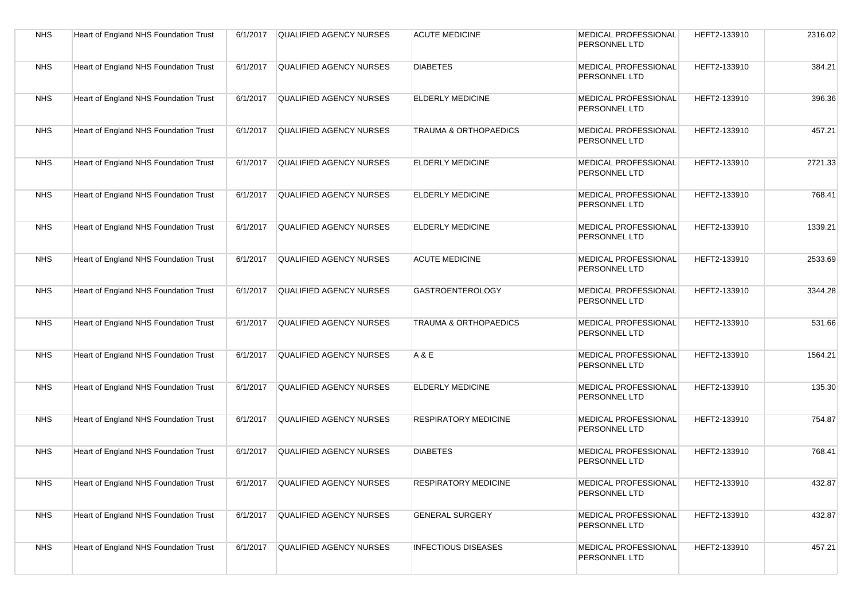| <b>NHS</b> | <b>Heart of England NHS Foundation Trust</b> | 6/1/2017 | <b>QUALIFIED AGENCY NURSES</b> | <b>ACUTE MEDICINE</b>            | MEDICAL PROFESSIONAL<br>PERSONNEL LTD        | HEFT2-133910 | 2316.02 |
|------------|----------------------------------------------|----------|--------------------------------|----------------------------------|----------------------------------------------|--------------|---------|
| <b>NHS</b> | Heart of England NHS Foundation Trust        | 6/1/2017 | <b>QUALIFIED AGENCY NURSES</b> | <b>DIABETES</b>                  | MEDICAL PROFESSIONAL<br>PERSONNEL LTD        | HEFT2-133910 | 384.21  |
| <b>NHS</b> | <b>Heart of England NHS Foundation Trust</b> | 6/1/2017 | <b>QUALIFIED AGENCY NURSES</b> | <b>ELDERLY MEDICINE</b>          | MEDICAL PROFESSIONAL<br>PERSONNEL LTD        | HEFT2-133910 | 396.36  |
| <b>NHS</b> | Heart of England NHS Foundation Trust        | 6/1/2017 | QUALIFIED AGENCY NURSES        | <b>TRAUMA &amp; ORTHOPAEDICS</b> | MEDICAL PROFESSIONAL<br>PERSONNEL LTD        | HEFT2-133910 | 457.21  |
| <b>NHS</b> | Heart of England NHS Foundation Trust        | 6/1/2017 | <b>QUALIFIED AGENCY NURSES</b> | <b>ELDERLY MEDICINE</b>          | MEDICAL PROFESSIONAL<br>PERSONNEL LTD        | HEFT2-133910 | 2721.33 |
| <b>NHS</b> | Heart of England NHS Foundation Trust        | 6/1/2017 | QUALIFIED AGENCY NURSES        | <b>ELDERLY MEDICINE</b>          | MEDICAL PROFESSIONAL<br>PERSONNEL LTD        | HEFT2-133910 | 768.41  |
| <b>NHS</b> | Heart of England NHS Foundation Trust        | 6/1/2017 | <b>QUALIFIED AGENCY NURSES</b> | <b>ELDERLY MEDICINE</b>          | <b>MEDICAL PROFESSIONAL</b><br>PERSONNEL LTD | HEFT2-133910 | 1339.21 |
| <b>NHS</b> | Heart of England NHS Foundation Trust        | 6/1/2017 | <b>QUALIFIED AGENCY NURSES</b> | <b>ACUTE MEDICINE</b>            | MEDICAL PROFESSIONAL<br>PERSONNEL LTD        | HEFT2-133910 | 2533.69 |
| <b>NHS</b> | Heart of England NHS Foundation Trust        | 6/1/2017 | <b>QUALIFIED AGENCY NURSES</b> | <b>GASTROENTEROLOGY</b>          | <b>MEDICAL PROFESSIONAL</b><br>PERSONNEL LTD | HEFT2-133910 | 3344.28 |
| <b>NHS</b> | Heart of England NHS Foundation Trust        | 6/1/2017 | <b>QUALIFIED AGENCY NURSES</b> | <b>TRAUMA &amp; ORTHOPAEDICS</b> | MEDICAL PROFESSIONAL<br>PERSONNEL LTD        | HEFT2-133910 | 531.66  |
| <b>NHS</b> | Heart of England NHS Foundation Trust        | 6/1/2017 | QUALIFIED AGENCY NURSES        | A & E                            | MEDICAL PROFESSIONAL<br>PERSONNEL LTD        | HEFT2-133910 | 1564.21 |
| <b>NHS</b> | Heart of England NHS Foundation Trust        | 6/1/2017 | QUALIFIED AGENCY NURSES        | <b>ELDERLY MEDICINE</b>          | <b>MEDICAL PROFESSIONAL</b><br>PERSONNEL LTD | HEFT2-133910 | 135.30  |
| <b>NHS</b> | Heart of England NHS Foundation Trust        | 6/1/2017 | <b>QUALIFIED AGENCY NURSES</b> | <b>RESPIRATORY MEDICINE</b>      | MEDICAL PROFESSIONAL<br>PERSONNEL LTD        | HEFT2-133910 | 754.87  |
| <b>NHS</b> | Heart of England NHS Foundation Trust        | 6/1/2017 | QUALIFIED AGENCY NURSES        | <b>DIABETES</b>                  | MEDICAL PROFESSIONAL<br>PERSONNEL LTD        | HEFT2-133910 | 768.41  |
| <b>NHS</b> | Heart of England NHS Foundation Trust        | 6/1/2017 | QUALIFIED AGENCY NURSES        | <b>RESPIRATORY MEDICINE</b>      | MEDICAL PROFESSIONAL<br>PERSONNEL LTD        | HEFT2-133910 | 432.87  |
| <b>NHS</b> | Heart of England NHS Foundation Trust        | 6/1/2017 | QUALIFIED AGENCY NURSES        | <b>GENERAL SURGERY</b>           | MEDICAL PROFESSIONAL<br>PERSONNEL LTD        | HEFT2-133910 | 432.87  |
| <b>NHS</b> | Heart of England NHS Foundation Trust        | 6/1/2017 | <b>QUALIFIED AGENCY NURSES</b> | <b>INFECTIOUS DISEASES</b>       | MEDICAL PROFESSIONAL<br>PERSONNEL LTD        | HEFT2-133910 | 457.21  |